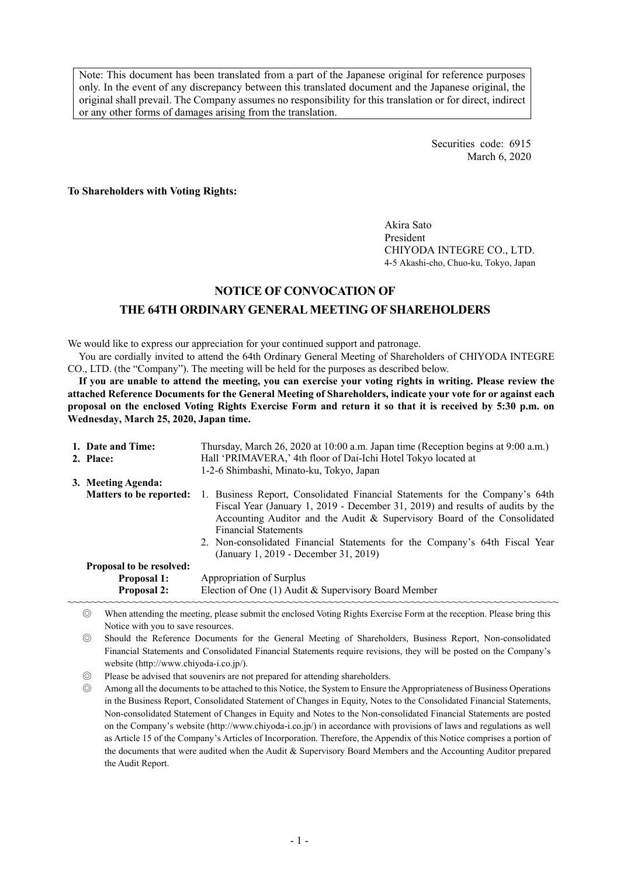Note: This document has been translated from a part of the Japanese original for reference purposes only. In the event of any discrepancy between this translated document and the Japanese original, the original shall prevail. The Company assumes no responsibility for this translation or for direct, indirect or any other forms of damages arising from the translation.

> Securities code: 6915 March 6, 2020

**To Shareholders with Voting Rights:** 

Akira Sato President CHIYODA INTEGRE CO., LTD. 4-5 Akashi-cho, Chuo-ku, Tokyo, Japan

## **NOTICE OF CONVOCATION OF**

### **THE 64TH ORDINARY GENERAL MEETING OF SHAREHOLDERS**

We would like to express our appreciation for your continued support and patronage.

You are cordially invited to attend the 64th Ordinary General Meeting of Shareholders of CHIYODA INTEGRE CO., LTD. (the "Company"). The meeting will be held for the purposes as described below.

**If you are unable to attend the meeting, you can exercise your voting rights in writing. Please review the attached Reference Documents for the General Meeting of Shareholders, indicate your vote for or against each proposal on the enclosed Voting Rights Exercise Form and return it so that it is received by 5:30 p.m. on Wednesday, March 25, 2020, Japan time.** 

| 1. Date and Time:<br>2. Place:  | Thursday, March 26, 2020 at 10:00 a.m. Japan time (Reception begins at 9:00 a.m.)<br>Hall 'PRIMAVERA,' 4th floor of Dai-Ichi Hotel Tokyo located at<br>1-2-6 Shimbashi, Minato-ku, Tokyo, Japan                                                                                                                                                                                                   |  |  |
|---------------------------------|---------------------------------------------------------------------------------------------------------------------------------------------------------------------------------------------------------------------------------------------------------------------------------------------------------------------------------------------------------------------------------------------------|--|--|
| 3. Meeting Agenda:              |                                                                                                                                                                                                                                                                                                                                                                                                   |  |  |
| <b>Matters to be reported:</b>  | 1. Business Report, Consolidated Financial Statements for the Company's 64th<br>Fiscal Year (January 1, 2019 - December 31, 2019) and results of audits by the<br>Accounting Auditor and the Audit & Supervisory Board of the Consolidated<br><b>Financial Statements</b><br>2. Non-consolidated Financial Statements for the Company's 64th Fiscal Year<br>(January 1, 2019 - December 31, 2019) |  |  |
| <b>Proposal to be resolved:</b> |                                                                                                                                                                                                                                                                                                                                                                                                   |  |  |
| <b>Proposal 1:</b>              | Appropriation of Surplus                                                                                                                                                                                                                                                                                                                                                                          |  |  |
| <b>Proposal 2:</b>              | Election of One (1) Audit & Supervisory Board Member                                                                                                                                                                                                                                                                                                                                              |  |  |

◎ When attending the meeting, please submit the enclosed Voting Rights Exercise Form at the reception. Please bring this Notice with you to save resources.

- ◎ Should the Reference Documents for the General Meeting of Shareholders, Business Report, Non-consolidated Financial Statements and Consolidated Financial Statements require revisions, they will be posted on the Company's website (http://www.chiyoda-i.co.jp/).
- ◎ Please be advised that souvenirs are not prepared for attending shareholders.

◎ Among all the documents to be attached to this Notice, the System to Ensure the Appropriateness of Business Operations in the Business Report, Consolidated Statement of Changes in Equity, Notes to the Consolidated Financial Statements, Non-consolidated Statement of Changes in Equity and Notes to the Non-consolidated Financial Statements are posted on the Company's website (http://www.chiyoda-i.co.jp/) in accordance with provisions of laws and regulations as well as Article 15 of the Company's Articles of Incorporation. Therefore, the Appendix of this Notice comprises a portion of the documents that were audited when the Audit & Supervisory Board Members and the Accounting Auditor prepared the Audit Report.